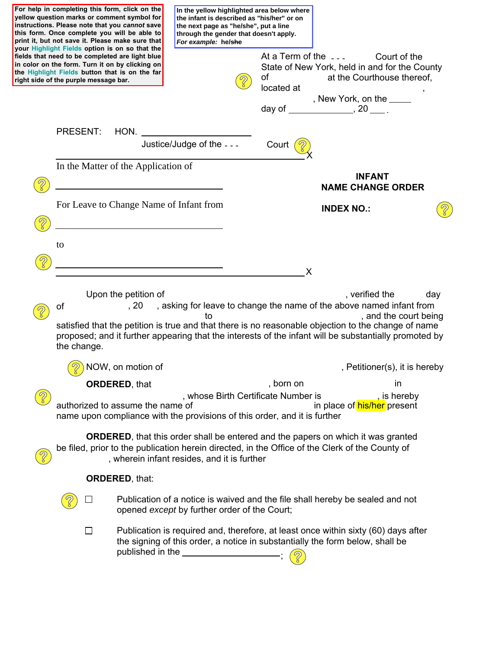|               |                                                                                                                                                                                                    | For help in completing this form, click on the<br>yellow question marks or comment symbol for<br>instructions. Please note that you cannot save<br>this form. Once complete you will be able to<br>print it, but not save it. Please make sure that<br>your Highlight Fields option is on so that the | In the yellow highlighted area below where<br>the infant is described as "his/her" or on<br>the next page as "he/she", put a line<br>through the gender that doesn't apply.<br>For example: he/she |                                           |                                            |                                                                                                                                                                                                                                                                                                                                      |     |  |
|---------------|----------------------------------------------------------------------------------------------------------------------------------------------------------------------------------------------------|-------------------------------------------------------------------------------------------------------------------------------------------------------------------------------------------------------------------------------------------------------------------------------------------------------|----------------------------------------------------------------------------------------------------------------------------------------------------------------------------------------------------|-------------------------------------------|--------------------------------------------|--------------------------------------------------------------------------------------------------------------------------------------------------------------------------------------------------------------------------------------------------------------------------------------------------------------------------------------|-----|--|
|               | right side of the purple message bar.                                                                                                                                                              | fields that need to be completed are light blue<br>in color on the form. Turn it on by clicking on<br>the Highlight Fields button that is on the far                                                                                                                                                  |                                                                                                                                                                                                    |                                           | At a Term of the $-$ -<br>οf<br>located at | Court of the<br>State of New York, held in and for the County<br>at the Courthouse thereof,                                                                                                                                                                                                                                          |     |  |
|               |                                                                                                                                                                                                    |                                                                                                                                                                                                                                                                                                       |                                                                                                                                                                                                    |                                           |                                            | , New York, on the _____<br>day of ______________________, 20 _______                                                                                                                                                                                                                                                                |     |  |
|               | <b>PRESENT:</b>                                                                                                                                                                                    | HON.                                                                                                                                                                                                                                                                                                  |                                                                                                                                                                                                    |                                           |                                            |                                                                                                                                                                                                                                                                                                                                      |     |  |
|               |                                                                                                                                                                                                    |                                                                                                                                                                                                                                                                                                       | Justice/Judge of the - - -                                                                                                                                                                         |                                           | Court                                      |                                                                                                                                                                                                                                                                                                                                      |     |  |
|               | In the Matter of the Application of                                                                                                                                                                |                                                                                                                                                                                                                                                                                                       |                                                                                                                                                                                                    | <b>INFANT</b><br><b>NAME CHANGE ORDER</b> |                                            |                                                                                                                                                                                                                                                                                                                                      |     |  |
|               |                                                                                                                                                                                                    | For Leave to Change Name of Infant from<br>the control of the control of the control of the control of the control of the control of                                                                                                                                                                  |                                                                                                                                                                                                    |                                           |                                            | <b>INDEX NO.:</b>                                                                                                                                                                                                                                                                                                                    |     |  |
|               | to                                                                                                                                                                                                 |                                                                                                                                                                                                                                                                                                       |                                                                                                                                                                                                    |                                           |                                            |                                                                                                                                                                                                                                                                                                                                      |     |  |
|               |                                                                                                                                                                                                    | <u> 1980 - Jan Barnett, fransk politiker (d. 1980)</u>                                                                                                                                                                                                                                                |                                                                                                                                                                                                    |                                           | X                                          |                                                                                                                                                                                                                                                                                                                                      |     |  |
|               | οf<br>the change.                                                                                                                                                                                  | Upon the petition of                                                                                                                                                                                                                                                                                  | to                                                                                                                                                                                                 |                                           |                                            | , verified the<br>, 20 , asking for leave to change the name of the above named infant from<br>, and the court being<br>satisfied that the petition is true and that there is no reasonable objection to the change of name<br>proposed; and it further appearing that the interests of the infant will be substantially promoted by | day |  |
|               |                                                                                                                                                                                                    | NOW, on motion of                                                                                                                                                                                                                                                                                     |                                                                                                                                                                                                    |                                           |                                            | , Petitioner(s), it is hereby                                                                                                                                                                                                                                                                                                        |     |  |
|               |                                                                                                                                                                                                    | <b>ORDERED, that</b>                                                                                                                                                                                                                                                                                  |                                                                                                                                                                                                    |                                           | , born on                                  | in                                                                                                                                                                                                                                                                                                                                   |     |  |
|               | , whose Birth Certificate Number is<br>, is hereby<br>authorized to assume the name of<br>in place of his/her present<br>name upon compliance with the provisions of this order, and it is further |                                                                                                                                                                                                                                                                                                       |                                                                                                                                                                                                    |                                           |                                            |                                                                                                                                                                                                                                                                                                                                      |     |  |
| $\mathcal{D}$ |                                                                                                                                                                                                    |                                                                                                                                                                                                                                                                                                       | , wherein infant resides, and it is further                                                                                                                                                        |                                           |                                            | <b>ORDERED</b> , that this order shall be entered and the papers on which it was granted<br>be filed, prior to the publication herein directed, in the Office of the Clerk of the County of                                                                                                                                          |     |  |
|               |                                                                                                                                                                                                    | <b>ORDERED, that:</b>                                                                                                                                                                                                                                                                                 |                                                                                                                                                                                                    |                                           |                                            |                                                                                                                                                                                                                                                                                                                                      |     |  |
|               | $\blacksquare$                                                                                                                                                                                     |                                                                                                                                                                                                                                                                                                       | opened except by further order of the Court;                                                                                                                                                       |                                           |                                            | Publication of a notice is waived and the file shall hereby be sealed and not                                                                                                                                                                                                                                                        |     |  |
|               | Publication is required and, therefore, at least once within sixty (60) days after<br>$\perp$<br>the signing of this order, a notice in substantially the form below, shall be<br>published in the |                                                                                                                                                                                                                                                                                                       |                                                                                                                                                                                                    |                                           |                                            |                                                                                                                                                                                                                                                                                                                                      |     |  |